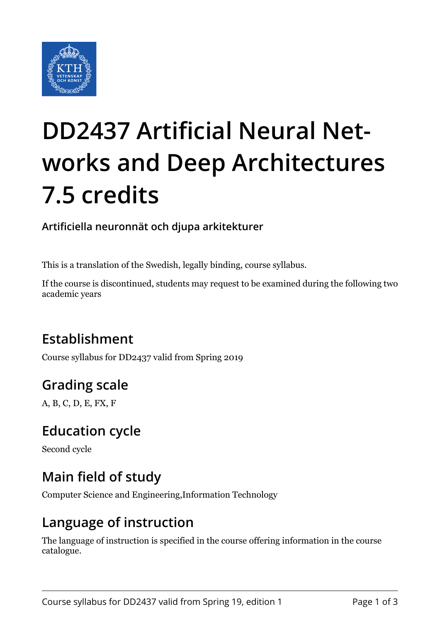

# **DD2437 Artificial Neural Networks and Deep Architectures 7.5 credits**

**Artificiella neuronnät och djupa arkitekturer**

This is a translation of the Swedish, legally binding, course syllabus.

If the course is discontinued, students may request to be examined during the following two academic years

## **Establishment**

Course syllabus for DD2437 valid from Spring 2019

## **Grading scale**

A, B, C, D, E, FX, F

#### **Education cycle**

Second cycle

#### **Main field of study**

Computer Science and Engineering,Information Technology

#### **Language of instruction**

The language of instruction is specified in the course offering information in the course catalogue.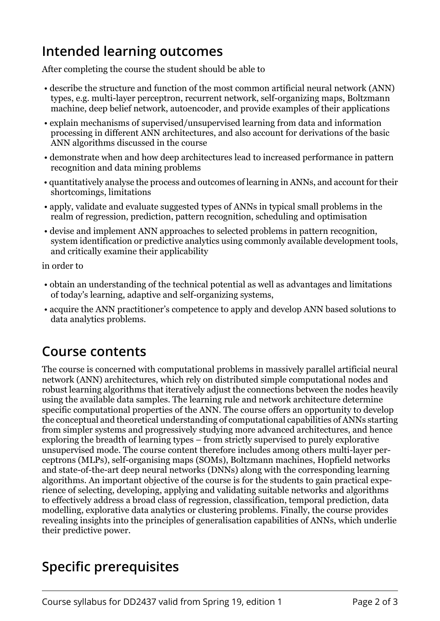#### **Intended learning outcomes**

After completing the course the student should be able to

- describe the structure and function of the most common artificial neural network (ANN) types, e.g. multi-layer perceptron, recurrent network, self-organizing maps, Boltzmann machine, deep belief network, autoencoder, and provide examples of their applications
- explain mechanisms of supervised/unsupervised learning from data and information processing in different ANN architectures, and also account for derivations of the basic ANN algorithms discussed in the course
- demonstrate when and how deep architectures lead to increased performance in pattern recognition and data mining problems
- quantitatively analyse the process and outcomes of learning in ANNs, and account for their shortcomings, limitations
- apply, validate and evaluate suggested types of ANNs in typical small problems in the realm of regression, prediction, pattern recognition, scheduling and optimisation
- devise and implement ANN approaches to selected problems in pattern recognition, system identification or predictive analytics using commonly available development tools, and critically examine their applicability

in order to

- obtain an understanding of the technical potential as well as advantages and limitations of today's learning, adaptive and self-organizing systems,
- acquire the ANN practitioner's competence to apply and develop ANN based solutions to data analytics problems.

#### **Course contents**

The course is concerned with computational problems in massively parallel artificial neural network (ANN) architectures, which rely on distributed simple computational nodes and robust learning algorithms that iteratively adjust the connections between the nodes heavily using the available data samples. The learning rule and network architecture determine specific computational properties of the ANN. The course offers an opportunity to develop the conceptual and theoretical understanding of computational capabilities of ANNs starting from simpler systems and progressively studying more advanced architectures, and hence exploring the breadth of learning types – from strictly supervised to purely explorative unsupervised mode. The course content therefore includes among others multi-layer perceptrons (MLPs), self-organising maps (SOMs), Boltzmann machines, Hopfield networks and state-of-the-art deep neural networks (DNNs) along with the corresponding learning algorithms. An important objective of the course is for the students to gain practical experience of selecting, developing, applying and validating suitable networks and algorithms to effectively address a broad class of regression, classification, temporal prediction, data modelling, explorative data analytics or clustering problems. Finally, the course provides revealing insights into the principles of generalisation capabilities of ANNs, which underlie their predictive power.

#### **Specific prerequisites**